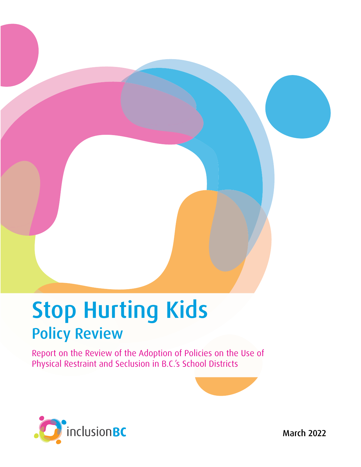# Stop Hurting Kids Policy Review

Report on the Review of the Adoption of Policies on the Use of Physical Restraint and Seclusion in B.C.'s School Districts



March 2022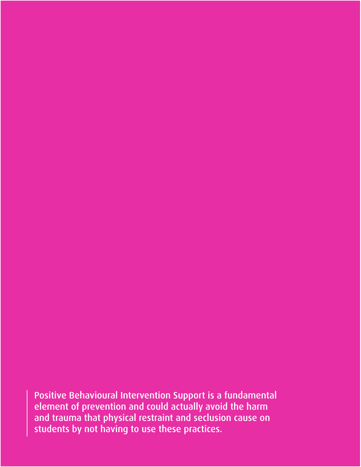Positive Behavioural Intervention Support is a fundamental element of prevention and could actually avoid the harm and trauma that physical restraint and seclusion cause on students by not having to use these practices.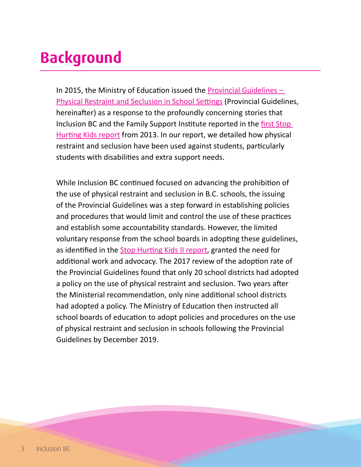## **Background**

In 2015, the Ministry of Education issued the **Provincial Guidelines**  $-$ [Physical Restraint and Seclusion in School Settings](https://www2.gov.bc.ca/assets/gov/education/kindergarten-to-grade-12/support/diverse-student-needs/physical-restraint-seclusion-guidelines.pdf) (Provincial Guidelines, hereinafter) as a response to the profoundly concerning stories that Inclusion BC and the Family Support Institute reported in the [first Stop](https://inclusionbc.org/our-resources/stop-hurting-kids-2013-report/)  [Hurting Kids report](https://inclusionbc.org/our-resources/stop-hurting-kids-2013-report/) from 2013. In our report, we detailed how physical restraint and seclusion have been used against students, particularly students with disabilities and extra support needs.

While Inclusion BC continued focused on advancing the prohibition of the use of physical restraint and seclusion in B.C. schools, the issuing of the Provincial Guidelines was a step forward in establishing policies and procedures that would limit and control the use of these practices and establish some accountability standards. However, the limited voluntary response from the school boards in adopting these guidelines, as identified in the [Stop Hurting Kids II report](https://inclusionbc.org/wp-content/uploads/2018/11/InclusionBC_StopHurtingKids2.pdf), granted the need for additional work and advocacy. The 2017 review of the adoption rate of the Provincial Guidelines found that only 20 school districts had adopted a policy on the use of physical restraint and seclusion. Two years after the Ministerial recommendation, only nine additional school districts had adopted a policy. The Ministry of Education then instructed all school boards of education to adopt policies and procedures on the use of physical restraint and seclusion in schools following the Provincial Guidelines by December 2019.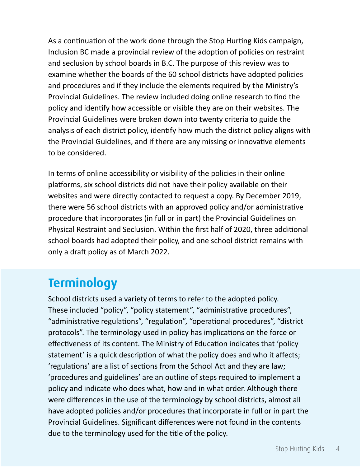As a continuation of the work done through the Stop Hurting Kids campaign, Inclusion BC made a provincial review of the adoption of policies on restraint and seclusion by school boards in B.C. The purpose of this review was to examine whether the boards of the 60 school districts have adopted policies and procedures and if they include the elements required by the Ministry's Provincial Guidelines. The review included doing online research to find the policy and identify how accessible or visible they are on their websites. The Provincial Guidelines were broken down into twenty criteria to guide the analysis of each district policy, identify how much the district policy aligns with the Provincial Guidelines, and if there are any missing or innovative elements to be considered.

In terms of online accessibility or visibility of the policies in their online platforms, six school districts did not have their policy available on their websites and were directly contacted to request a copy. By December 2019, there were 56 school districts with an approved policy and/or administrative procedure that incorporates (in full or in part) the Provincial Guidelines on Physical Restraint and Seclusion. Within the first half of 2020, three additional school boards had adopted their policy, and one school district remains with only a draft policy as of March 2022.

#### **Terminology**

School districts used a variety of terms to refer to the adopted policy. These included "policy", "policy statement", "administrative procedures", "administrative regulations", "regulation", "operational procedures", "district protocols". The terminology used in policy has implications on the force or effectiveness of its content. The Ministry of Education indicates that 'policy statement' is a quick description of what the policy does and who it affects; 'regulations' are a list of sections from the School Act and they are law; 'procedures and guidelines' are an outline of steps required to implement a policy and indicate who does what, how and in what order. Although there were differences in the use of the terminology by school districts, almost all have adopted policies and/or procedures that incorporate in full or in part the Provincial Guidelines. Significant differences were not found in the contents due to the terminology used for the title of the policy.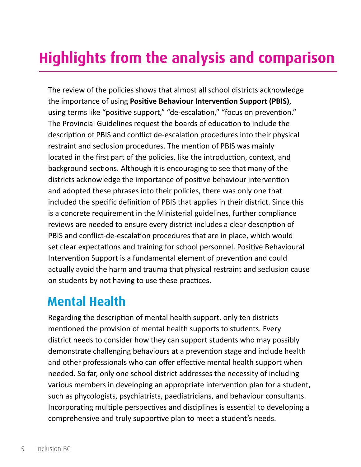### **Highlights from the analysis and comparison**

The review of the policies shows that almost all school districts acknowledge the importance of using **Positive Behaviour Intervention Support (PBIS)**, using terms like "positive support," "de-escalation," "focus on prevention." The Provincial Guidelines request the boards of education to include the description of PBIS and conflict de-escalation procedures into their physical restraint and seclusion procedures. The mention of PBIS was mainly located in the first part of the policies, like the introduction, context, and background sections. Although it is encouraging to see that many of the districts acknowledge the importance of positive behaviour intervention and adopted these phrases into their policies, there was only one that included the specific definition of PBIS that applies in their district. Since this is a concrete requirement in the Ministerial guidelines, further compliance reviews are needed to ensure every district includes a clear description of PBIS and conflict-de-escalation procedures that are in place, which would set clear expectations and training for school personnel. Positive Behavioural Intervention Support is a fundamental element of prevention and could actually avoid the harm and trauma that physical restraint and seclusion cause on students by not having to use these practices.

#### **Mental Health**

Regarding the description of mental health support, only ten districts mentioned the provision of mental health supports to students. Every district needs to consider how they can support students who may possibly demonstrate challenging behaviours at a prevention stage and include health and other professionals who can offer effective mental health support when needed. So far, only one school district addresses the necessity of including various members in developing an appropriate intervention plan for a student, such as phycologists, psychiatrists, paediatricians, and behaviour consultants. Incorporating multiple perspectives and disciplines is essential to developing a comprehensive and truly supportive plan to meet a student's needs.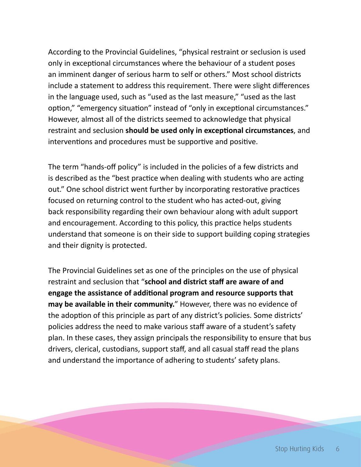According to the Provincial Guidelines, "physical restraint or seclusion is used only in exceptional circumstances where the behaviour of a student poses an imminent danger of serious harm to self or others." Most school districts include a statement to address this requirement. There were slight differences in the language used, such as "used as the last measure," "used as the last option," "emergency situation" instead of "only in exceptional circumstances." However, almost all of the districts seemed to acknowledge that physical restraint and seclusion **should be used only in exceptional circumstances**, and interventions and procedures must be supportive and positive.

The term "hands-off policy" is included in the policies of a few districts and is described as the "best practice when dealing with students who are acting out." One school district went further by incorporating restorative practices focused on returning control to the student who has acted-out, giving back responsibility regarding their own behaviour along with adult support and encouragement. According to this policy, this practice helps students understand that someone is on their side to support building coping strategies and their dignity is protected.

The Provincial Guidelines set as one of the principles on the use of physical restraint and seclusion that "**school and district staff are aware of and engage the assistance of additional program and resource supports that may be available in their community.**" However, there was no evidence of the adoption of this principle as part of any district's policies. Some districts' policies address the need to make various staff aware of a student's safety plan. In these cases, they assign principals the responsibility to ensure that bus drivers, clerical, custodians, support staff, and all casual staff read the plans and understand the importance of adhering to students' safety plans.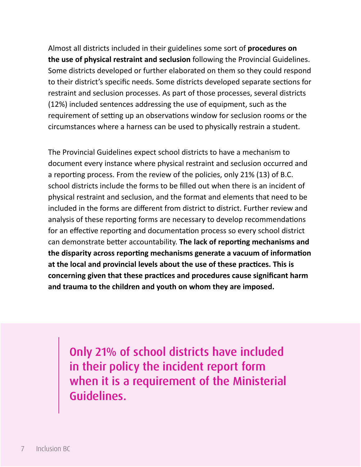Almost all districts included in their guidelines some sort of **procedures on the use of physical restraint and seclusion** following the Provincial Guidelines. Some districts developed or further elaborated on them so they could respond to their district's specific needs. Some districts developed separate sections for restraint and seclusion processes. As part of those processes, several districts (12%) included sentences addressing the use of equipment, such as the requirement of setting up an observations window for seclusion rooms or the circumstances where a harness can be used to physically restrain a student.

The Provincial Guidelines expect school districts to have a mechanism to document every instance where physical restraint and seclusion occurred and a reporting process. From the review of the policies, only 21% (13) of B.C. school districts include the forms to be filled out when there is an incident of physical restraint and seclusion, and the format and elements that need to be included in the forms are different from district to district. Further review and analysis of these reporting forms are necessary to develop recommendations for an effective reporting and documentation process so every school district can demonstrate better accountability. **The lack of reporting mechanisms and the disparity across reporting mechanisms generate a vacuum of information at the local and provincial levels about the use of these practices. This is concerning given that these practices and procedures cause significant harm and trauma to the children and youth on whom they are imposed.** 

Only 21% of school districts have included in their policy the incident report form when it is a requirement of the Ministerial Guidelines.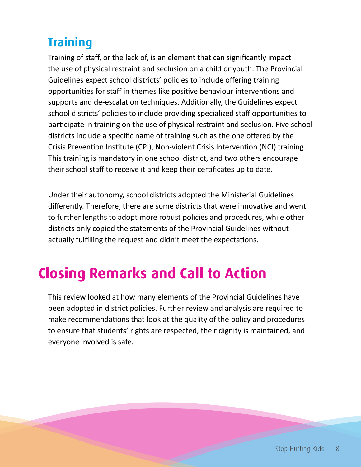#### **Training**

Training of staff, or the lack of, is an element that can significantly impact the use of physical restraint and seclusion on a child or youth. The Provincial Guidelines expect school districts' policies to include offering training opportunities for staff in themes like positive behaviour interventions and supports and de-escalation techniques. Additionally, the Guidelines expect school districts' policies to include providing specialized staff opportunities to participate in training on the use of physical restraint and seclusion. Five school districts include a specific name of training such as the one offered by the Crisis Prevention Institute (CPI), Non-violent Crisis Intervention (NCI) training. This training is mandatory in one school district, and two others encourage their school staff to receive it and keep their certificates up to date.

Under their autonomy, school districts adopted the Ministerial Guidelines differently. Therefore, there are some districts that were innovative and went to further lengths to adopt more robust policies and procedures, while other districts only copied the statements of the Provincial Guidelines without actually fulfilling the request and didn't meet the expectations.

## **Closing Remarks and Call to Action**

This review looked at how many elements of the Provincial Guidelines have been adopted in district policies. Further review and analysis are required to make recommendations that look at the quality of the policy and procedures to ensure that students' rights are respected, their dignity is maintained, and everyone involved is safe.